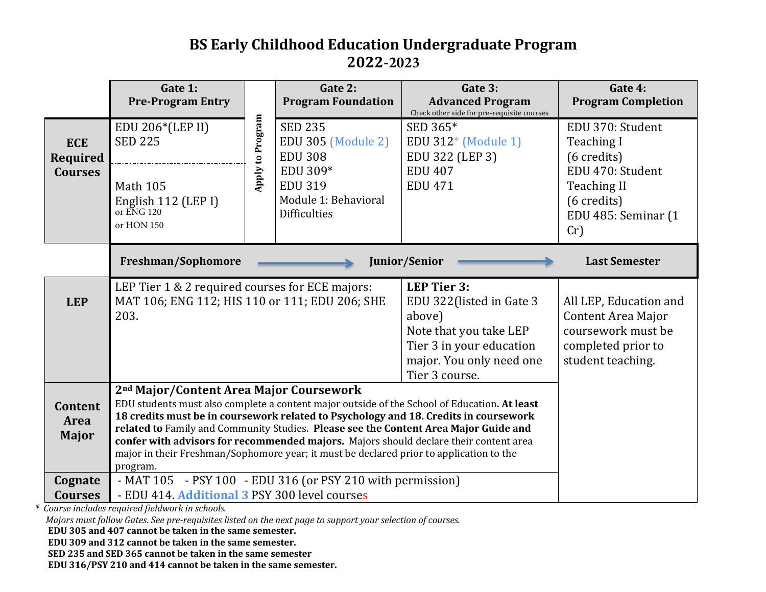# **BS Early Childhood Education Undergraduate Program 2022-2023**

|                                                          | Gate 1:<br><b>Pre-Program Entry</b>                                                                                                                                                                                                                                                                                                                                                                                                                                                                                                                                                               |                  | Gate 2:<br><b>Program Foundation</b>                                      | Gate 3:<br><b>Advanced Program</b><br>Check other side for pre-requisite courses                                                                   | Gate 4:<br><b>Program Completion</b>                                                                                 |
|----------------------------------------------------------|---------------------------------------------------------------------------------------------------------------------------------------------------------------------------------------------------------------------------------------------------------------------------------------------------------------------------------------------------------------------------------------------------------------------------------------------------------------------------------------------------------------------------------------------------------------------------------------------------|------------------|---------------------------------------------------------------------------|----------------------------------------------------------------------------------------------------------------------------------------------------|----------------------------------------------------------------------------------------------------------------------|
| <b>ECE</b><br>Required<br><b>Courses</b>                 | EDU 206*(LEP II)<br><b>SED 225</b>                                                                                                                                                                                                                                                                                                                                                                                                                                                                                                                                                                | Apply to Program | <b>SED 235</b><br><b>EDU 305 (Module 2)</b><br><b>EDU 308</b>             | SED 365*<br>EDU 312* (Module 1)<br>EDU 322 (LEP 3)                                                                                                 | EDU 370: Student<br><b>Teaching I</b><br>(6 credits)                                                                 |
|                                                          | <b>Math 105</b><br>English 112 (LEP I)<br>or ENG 120<br>or HON 150                                                                                                                                                                                                                                                                                                                                                                                                                                                                                                                                |                  | EDU 309*<br><b>EDU 319</b><br>Module 1: Behavioral<br><b>Difficulties</b> | <b>EDU 407</b><br><b>EDU 471</b>                                                                                                                   | EDU 470: Student<br><b>Teaching II</b><br>(6 credits)<br>EDU 485: Seminar (1<br>Cr)                                  |
|                                                          | Freshman/Sophomore                                                                                                                                                                                                                                                                                                                                                                                                                                                                                                                                                                                |                  |                                                                           | Junior/Senior                                                                                                                                      | <b>Last Semester</b>                                                                                                 |
| <b>LEP</b>                                               | LEP Tier 1 & 2 required courses for ECE majors:<br>MAT 106; ENG 112; HIS 110 or 111; EDU 206; SHE<br>203.<br>above)                                                                                                                                                                                                                                                                                                                                                                                                                                                                               |                  |                                                                           | <b>LEP Tier 3:</b><br>EDU 322(listed in Gate 3<br>Note that you take LEP<br>Tier 3 in your education<br>major. You only need one<br>Tier 3 course. | All LEP, Education and<br><b>Content Area Major</b><br>coursework must be<br>completed prior to<br>student teaching. |
| <b>Content</b><br><b>Area</b><br><b>Major</b><br>Cognate | 2 <sup>nd</sup> Major/Content Area Major Coursework<br>EDU students must also complete a content major outside of the School of Education. At least<br>18 credits must be in coursework related to Psychology and 18. Credits in coursework<br>related to Family and Community Studies. Please see the Content Area Major Guide and<br>confer with advisors for recommended majors. Majors should declare their content area<br>major in their Freshman/Sophomore year; it must be declared prior to application to the<br>program.<br>- MAT 105 - PSY 100 - EDU 316 (or PSY 210 with permission) |                  |                                                                           |                                                                                                                                                    |                                                                                                                      |
| <b>Courses</b>                                           | - EDU 414. Additional 3 PSY 300 level courses                                                                                                                                                                                                                                                                                                                                                                                                                                                                                                                                                     |                  |                                                                           |                                                                                                                                                    |                                                                                                                      |
|                                                          | Course includes required fieldwork in schools.<br>Majors must follow Gates. See pre-requisites listed on the next page to support your selection of courses.<br>EDU 305 and 407 cannot be taken in the same semester.<br>EDU 309 and 312 cannot be taken in the same semester.<br>SED 235 and SED 365 cannot be taken in the same semester<br>EDU 316/PSY 210 and 414 cannot be taken in the same semester.                                                                                                                                                                                       |                  |                                                                           |                                                                                                                                                    |                                                                                                                      |

- EDU 309 and 312 cannot be taken in the same semester.
- **SED 235 and SED 365 cannot be taken in the same semester**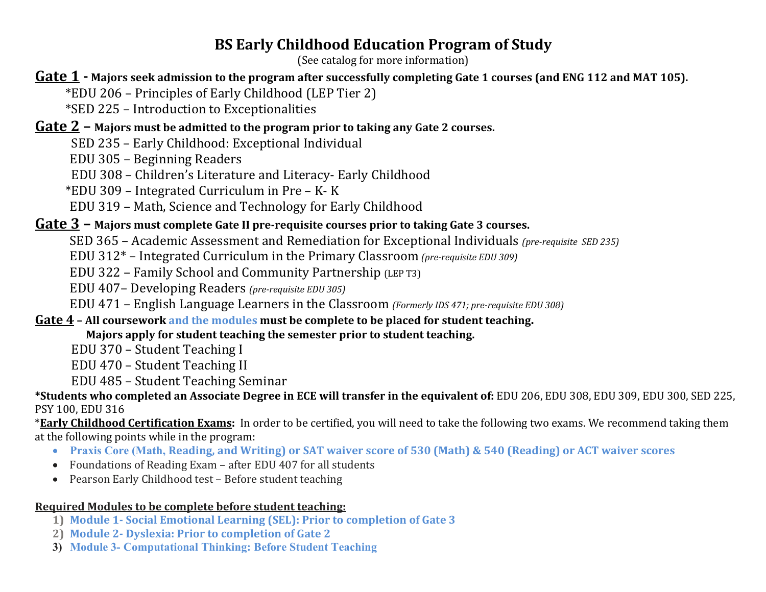# **BS Early Childhood Education Program of Study**

(See catalog for more information)

## **Gate 1 -** Majors seek admission to the program after successfully completing Gate 1 courses (and ENG 112 and MAT 105).

- \*EDU 206 – Principles of Early Childhood (LEP Tier 2)
- \*SED 225 Introduction to Exceptionalities

## **Gate 2** – Majors must be admitted to the program prior to taking any Gate 2 courses.

- SED 235 Early Childhood: Exceptional Individual
- EDU 305 – Beginning Readers
- EDU 308 Children's Literature and Literacy- Early Childhood
- $*$ EDU 309 Integrated Curriculum in Pre K- K
- EDU 319 Math, Science and Technology for Early Childhood

## **Gate 3** – Majors must complete Gate II pre-requisite courses prior to taking Gate 3 courses.

- SED 365 Academic Assessment and Remediation for Exceptional Individuals (pre-requisite SED 235)
- EDU 312<sup>\*</sup> Integrated Curriculum in the Primary Classroom *(pre-requisite EDU 309)*
- EDU 322 Family School and Community Partnership (LEP T3)
- EDU 407– Developing Readers (pre-requisite *EDU* 305)
- EDU 471 English Language Learners in the Classroom *(Formerly IDS 471; pre-requisite EDU 308)*

## **Gate 4** – All coursework and the modules must be complete to be placed for student teaching.

#### **Majors apply for student teaching the semester prior to student teaching.**

- EDU 370 Student Teaching I
- EDU 470 Student Teaching II
- EDU 485 – Student Teaching Seminar

#### \*Students who completed an Associate Degree in ECE will transfer in the equivalent of: EDU 206, EDU 308, EDU 309, EDU 300, SED 225, PSY 100, EDU 316

\***Early Childhood Certification Exams:** In order to be certified, you will need to take the following two exams. We recommend taking them at the following points while in the program:

- **Praxis Core (Math, Reading, and Writing) or SAT waiver score of 530 (Math) & 540 (Reading) or ACT waiver scores**
- Foundations of Reading Exam after EDU 407 for all students
- Pearson Early Childhood test Before student teaching

#### **Required Modules to be complete before student teaching:**

- **1) Module 1- Social Emotional Learning (SEL): Prior to completion of Gate 3**
- **2) Module 2- Dyslexia: Prior to completion of Gate 2**
- **3) Module 3- Computational Thinking: Before Student Teaching**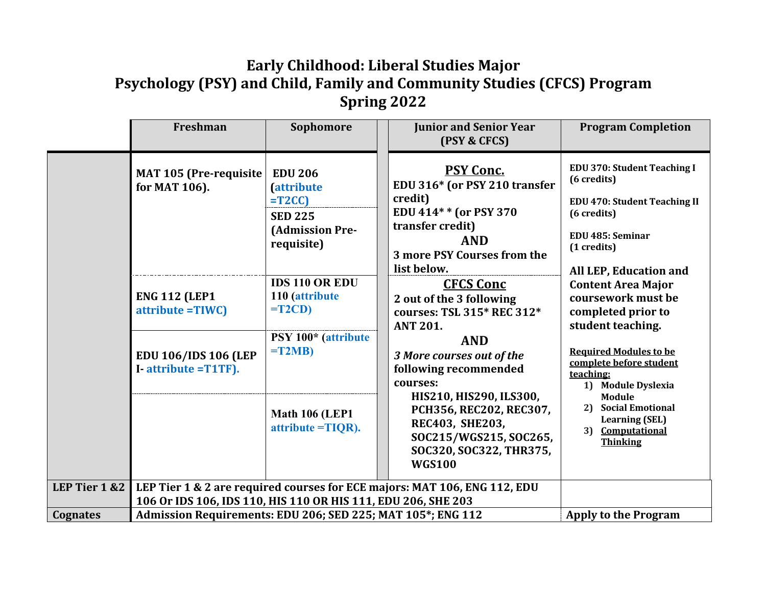# **Early Childhood: Liberal Studies Major Psychology (PSY) and Child, Family and Community Studies (CFCS) Program Spring 2022**

|               | Freshman                                                                                                                     | Sophomore                                                                                                                                                                   | <b>Junior and Senior Year</b><br>(PSY & CFCS)                                                                                                                                                                                                                           | <b>Program Completion</b>                                                                                                                                                                                                                                          |
|---------------|------------------------------------------------------------------------------------------------------------------------------|-----------------------------------------------------------------------------------------------------------------------------------------------------------------------------|-------------------------------------------------------------------------------------------------------------------------------------------------------------------------------------------------------------------------------------------------------------------------|--------------------------------------------------------------------------------------------------------------------------------------------------------------------------------------------------------------------------------------------------------------------|
|               | MAT 105 (Pre-requisite<br>for MAT 106).<br><b>ENG 112 (LEP1</b><br>attribute = TIWC)                                         | <b>EDU 206</b><br><i><b><u>attribute</u></b></i><br>$=T2CC$<br><b>SED 225</b><br><b>(Admission Pre-</b><br>requisite)<br><b>IDS 110 OR EDU</b><br>110 (attribute<br>$=T2CD$ | <b>PSY Conc.</b><br>EDU 316* (or PSY 210 transfer<br>credit)<br>EDU 414* * (or PSY 370<br>transfer credit)<br><b>AND</b><br>3 more PSY Courses from the<br>list below.<br><b>CFCS Conc</b><br>2 out of the 3 following<br>courses: TSL 315* REC 312*<br><b>ANT 201.</b> | <b>EDU 370: Student Teaching I</b><br>(6 credits)<br><b>EDU 470: Student Teaching II</b><br>(6 credits)<br>EDU 485: Seminar<br>(1 credits)<br>All LEP, Education and<br><b>Content Area Major</b><br>coursework must be<br>completed prior to<br>student teaching. |
|               | EDU 106/IDS 106 (LEP<br>I-attribute = T1TF).                                                                                 | PSY 100* (attribute<br>$=T2MB$<br><b>Math 106 (LEP1)</b><br>$attribute = TIOR$ ).                                                                                           | <b>AND</b><br>3 More courses out of the<br>following recommended<br>courses:<br>HIS210, HIS290, ILS300,<br>PCH356, REC202, REC307,<br><b>REC403, SHE203,</b><br>SOC215/WGS215, SOC265,<br>SOC320, SOC322, THR375,<br><b>WGS100</b>                                      | <b>Required Modules to be</b><br>complete before student<br>teaching:<br>1) Module Dyslexia<br>Module<br><b>Social Emotional</b><br>21<br><b>Learning (SEL)</b><br>3) Computational<br><b>Thinking</b>                                                             |
| LEP Tier 1 &2 | LEP Tier 1 & 2 are required courses for ECE majors: MAT 106, ENG 112, EDU                                                    |                                                                                                                                                                             |                                                                                                                                                                                                                                                                         |                                                                                                                                                                                                                                                                    |
| Cognates      | 106 Or IDS 106, IDS 110, HIS 110 OR HIS 111, EDU 206, SHE 203<br>Admission Requirements: EDU 206; SED 225; MAT 105*; ENG 112 |                                                                                                                                                                             |                                                                                                                                                                                                                                                                         | <b>Apply to the Program</b>                                                                                                                                                                                                                                        |